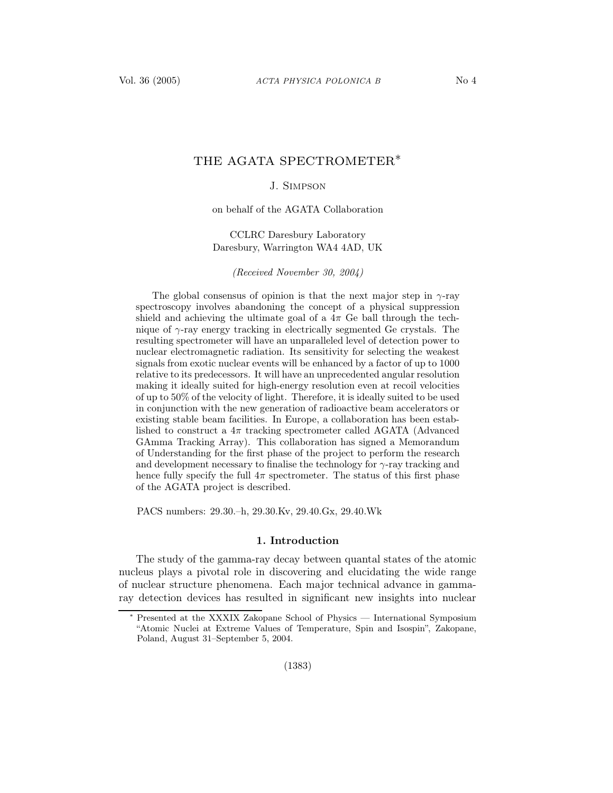# THE AGATA SPECTROMETER∗

## J. Simpson

on behalf of the AGATA Collaboration

CCLRC Daresbury Laboratory Daresbury, Warrington WA4 4AD, UK

(Received November 30, 2004)

The global consensus of opinion is that the next major step in  $\gamma$ -ray spectroscopy involves abandoning the concept of a physical suppression shield and achieving the ultimate goal of a  $4\pi$  Ge ball through the technique of  $\gamma$ -ray energy tracking in electrically segmented Ge crystals. The resulting spectrometer will have an unparalleled level of detection power to nuclear electromagnetic radiation. Its sensitivity for selecting the weakest signals from exotic nuclear events will be enhanced by a factor of up to 1000 relative to its predecessors. It will have an unprecedented angular resolution making it ideally suited for high-energy resolution even at recoil velocities of up to 50% of the velocity of light. Therefore, it is ideally suited to be used in conjunction with the new generation of radioactive beam accelerators or existing stable beam facilities. In Europe, a collaboration has been established to construct a  $4\pi$  tracking spectrometer called AGATA (Advanced GAmma Tracking Array). This collaboration has signed a Memorandum of Understanding for the first phase of the project to perform the research and development necessary to finalise the technology for  $\gamma$ -ray tracking and hence fully specify the full  $4\pi$  spectrometer. The status of this first phase of the AGATA project is described.

PACS numbers: 29.30.–h, 29.30.Kv, 29.40.Gx, 29.40.Wk

### 1. Introduction

The study of the gamma-ray decay between quantal states of the atomic nucleus plays a pivotal role in discovering and elucidating the wide range of nuclear structure phenomena. Each major technical advance in gammaray detection devices has resulted in significant new insights into nuclear

<sup>∗</sup> Presented at the XXXIX Zakopane School of Physics — International Symposium "Atomic Nuclei at Extreme Values of Temperature, Spin and Isospin", Zakopane, Poland, August 31–September 5, 2004.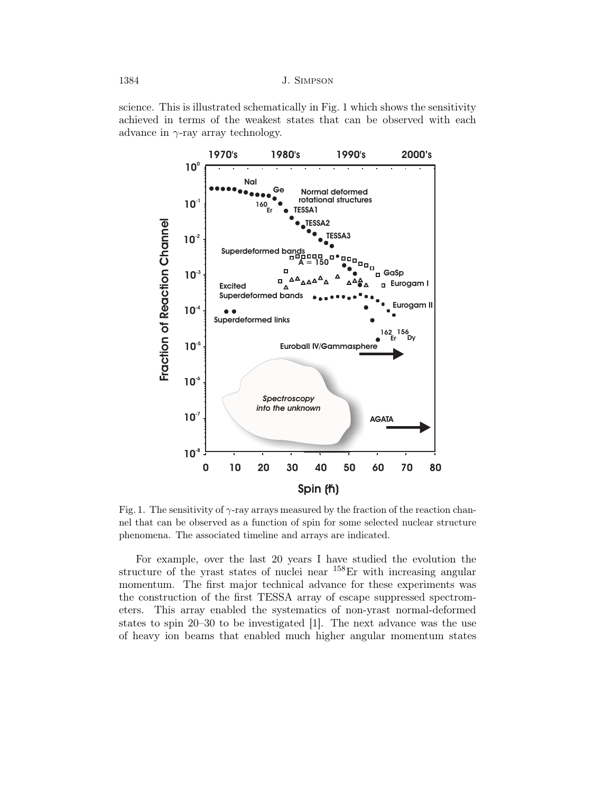science. This is illustrated schematically in Fig. 1 which shows the sensitivity achieved in terms of the weakest states that can be observed with each advance in  $\gamma$ -ray array technology.



Fig. 1. The sensitivity of  $\gamma$ -ray arrays measured by the fraction of the reaction channel that can be observed as a function of spin for some selected nuclear structure phenomena. The associated timeline and arrays are indicated.

For example, over the last 20 years I have studied the evolution the structure of the yrast states of nuclei near  $158$ Er with increasing angular momentum. The first major technical advance for these experiments was the construction of the first TESSA array of escape suppressed spectrometers. This array enabled the systematics of non-yrast normal-deformed states to spin 20–30 to be investigated [1]. The next advance was the use of heavy ion beams that enabled much higher angular momentum states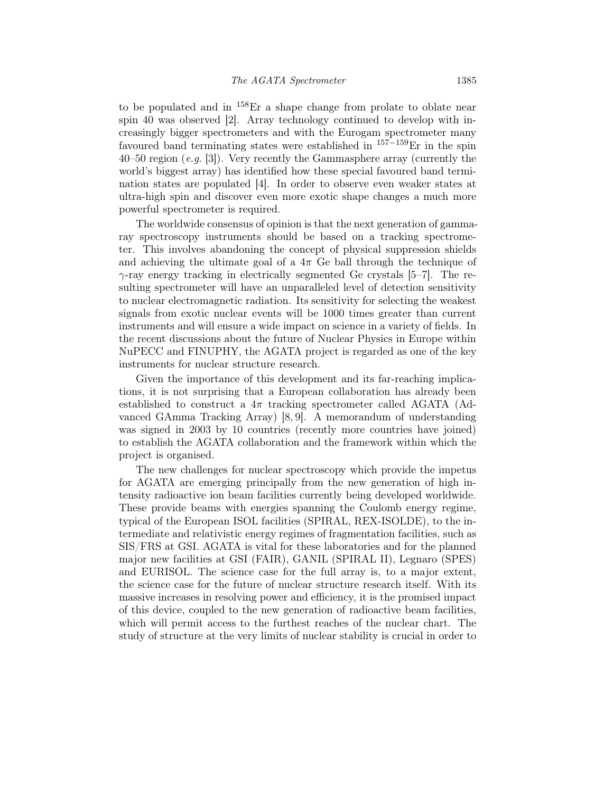to be populated and in  $^{158}$ Er a shape change from prolate to oblate near spin 40 was observed [2]. Array technology continued to develop with increasingly bigger spectrometers and with the Eurogam spectrometer many favoured band terminating states were established in  $157-159$ Er in the spin 40–50 region  $(e.g. 3]$ ). Very recently the Gammasphere array (currently the world's biggest array) has identified how these special favoured band termination states are populated [4]. In order to observe even weaker states at ultra-high spin and discover even more exotic shape changes a much more powerful spectrometer is required.

The worldwide consensus of opinion is that the next generation of gammaray spectroscopy instruments should be based on a tracking spectrometer. This involves abandoning the concept of physical suppression shields and achieving the ultimate goal of a  $4\pi$  Ge ball through the technique of  $\gamma$ -ray energy tracking in electrically segmented Ge crystals [5–7]. The resulting spectrometer will have an unparalleled level of detection sensitivity to nuclear electromagnetic radiation. Its sensitivity for selecting the weakest signals from exotic nuclear events will be 1000 times greater than current instruments and will ensure a wide impact on science in a variety of fields. In the recent discussions about the future of Nuclear Physics in Europe within NuPECC and FINUPHY, the AGATA project is regarded as one of the key instruments for nuclear structure research.

Given the importance of this development and its far-reaching implications, it is not surprising that a European collaboration has already been established to construct a  $4\pi$  tracking spectrometer called AGATA (Advanced GAmma Tracking Array) [8, 9]. A memorandum of understanding was signed in 2003 by 10 countries (recently more countries have joined) to establish the AGATA collaboration and the framework within which the project is organised.

The new challenges for nuclear spectroscopy which provide the impetus for AGATA are emerging principally from the new generation of high intensity radioactive ion beam facilities currently being developed worldwide. These provide beams with energies spanning the Coulomb energy regime, typical of the European ISOL facilities (SPIRAL, REX-ISOLDE), to the intermediate and relativistic energy regimes of fragmentation facilities, such as SIS/FRS at GSI. AGATA is vital for these laboratories and for the planned major new facilities at GSI (FAIR), GANIL (SPIRAL II), Legnaro (SPES) and EURISOL. The science case for the full array is, to a major extent, the science case for the future of nuclear structure research itself. With its massive increases in resolving power and efficiency, it is the promised impact of this device, coupled to the new generation of radioactive beam facilities, which will permit access to the furthest reaches of the nuclear chart. The study of structure at the very limits of nuclear stability is crucial in order to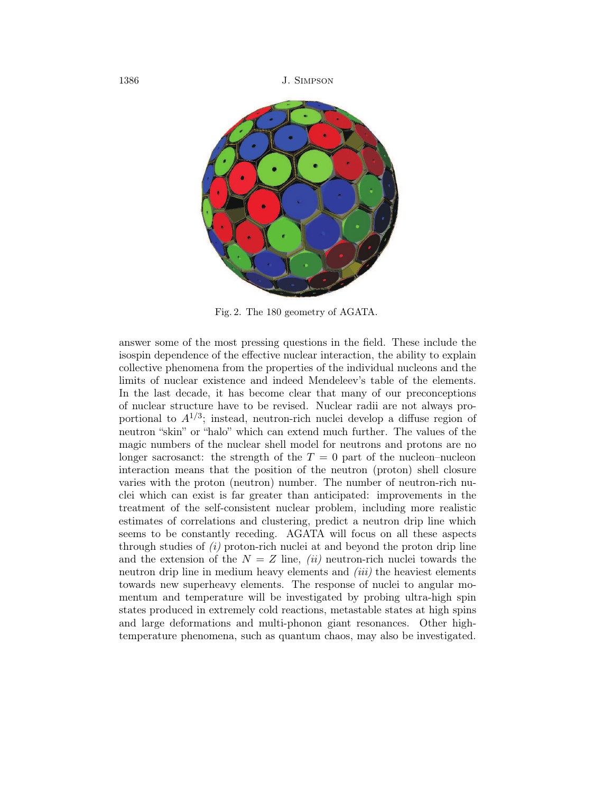1386 J. Simpson



Fig. 2. The 180 geometry of AGATA.

answer some of the most pressing questions in the field. These include the isospin dependence of the effective nuclear interaction, the ability to explain collective phenomena from the properties of the individual nucleons and the limits of nuclear existence and indeed Mendeleev's table of the elements. In the last decade, it has become clear that many of our preconceptions of nuclear structure have to be revised. Nuclear radii are not always proportional to  $A^{1/3}$ ; instead, neutron-rich nuclei develop a diffuse region of neutron "skin" or "halo" which can extend much further. The values of the magic numbers of the nuclear shell model for neutrons and protons are no longer sacrosanct: the strength of the  $T = 0$  part of the nucleon–nucleon interaction means that the position of the neutron (proton) shell closure varies with the proton (neutron) number. The number of neutron-rich nuclei which can exist is far greater than anticipated: improvements in the treatment of the self-consistent nuclear problem, including more realistic estimates of correlations and clustering, predict a neutron drip line which seems to be constantly receding. AGATA will focus on all these aspects through studies of  $(i)$  proton-rich nuclei at and beyond the proton drip line and the extension of the  $N = Z$  line, *(ii)* neutron-rich nuclei towards the neutron drip line in medium heavy elements and  $(iii)$  the heaviest elements towards new superheavy elements. The response of nuclei to angular momentum and temperature will be investigated by probing ultra-high spin states produced in extremely cold reactions, metastable states at high spins and large deformations and multi-phonon giant resonances. Other hightemperature phenomena, such as quantum chaos, may also be investigated.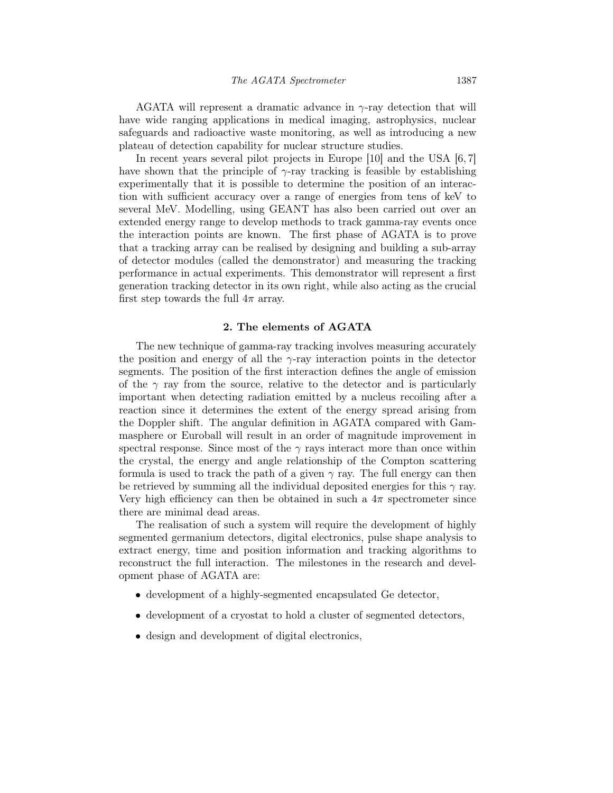AGATA will represent a dramatic advance in  $\gamma$ -ray detection that will have wide ranging applications in medical imaging, astrophysics, nuclear safeguards and radioactive waste monitoring, as well as introducing a new plateau of detection capability for nuclear structure studies.

In recent years several pilot projects in Europe [10] and the USA  $[6, 7]$ have shown that the principle of  $\gamma$ -ray tracking is feasible by establishing experimentally that it is possible to determine the position of an interaction with sufficient accuracy over a range of energies from tens of keV to several MeV. Modelling, using GEANT has also been carried out over an extended energy range to develop methods to track gamma-ray events once the interaction points are known. The first phase of AGATA is to prove that a tracking array can be realised by designing and building a sub-array of detector modules (called the demonstrator) and measuring the tracking performance in actual experiments. This demonstrator will represent a first generation tracking detector in its own right, while also acting as the crucial first step towards the full  $4\pi$  array.

### 2. The elements of AGATA

The new technique of gamma-ray tracking involves measuring accurately the position and energy of all the  $\gamma$ -ray interaction points in the detector segments. The position of the first interaction defines the angle of emission of the  $\gamma$  ray from the source, relative to the detector and is particularly important when detecting radiation emitted by a nucleus recoiling after a reaction since it determines the extent of the energy spread arising from the Doppler shift. The angular definition in AGATA compared with Gammasphere or Euroball will result in an order of magnitude improvement in spectral response. Since most of the  $\gamma$  rays interact more than once within the crystal, the energy and angle relationship of the Compton scattering formula is used to track the path of a given  $\gamma$  ray. The full energy can then be retrieved by summing all the individual deposited energies for this  $\gamma$  ray. Very high efficiency can then be obtained in such a  $4\pi$  spectrometer since there are minimal dead areas.

The realisation of such a system will require the development of highly segmented germanium detectors, digital electronics, pulse shape analysis to extract energy, time and position information and tracking algorithms to reconstruct the full interaction. The milestones in the research and development phase of AGATA are:

- development of a highly-segmented encapsulated Ge detector,
- development of a cryostat to hold a cluster of segmented detectors,
- design and development of digital electronics,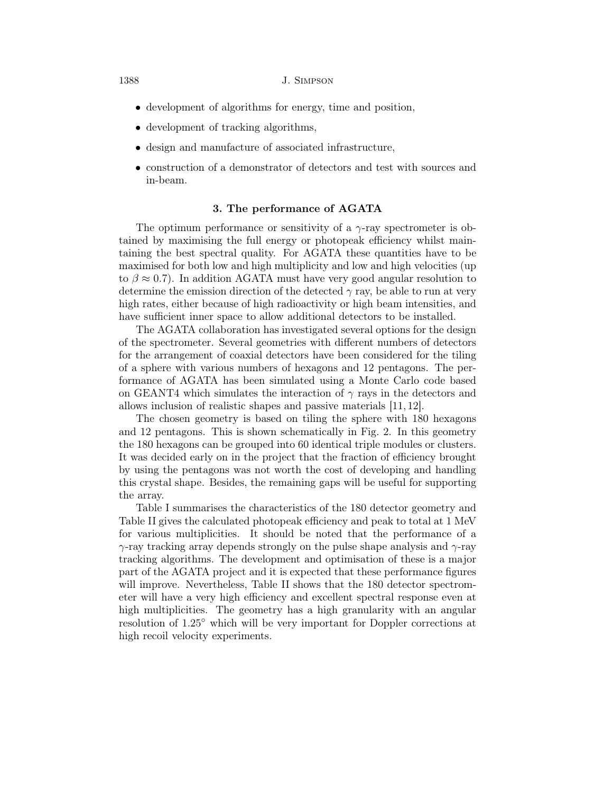#### 1388 J. Simpson

- development of algorithms for energy, time and position,
- development of tracking algorithms,
- design and manufacture of associated infrastructure,
- construction of a demonstrator of detectors and test with sources and in-beam.

# 3. The performance of AGATA

The optimum performance or sensitivity of a  $\gamma$ -ray spectrometer is obtained by maximising the full energy or photopeak efficiency whilst maintaining the best spectral quality. For AGATA these quantities have to be maximised for both low and high multiplicity and low and high velocities (up to  $\beta \approx 0.7$ ). In addition AGATA must have very good angular resolution to determine the emission direction of the detected  $\gamma$  ray, be able to run at very high rates, either because of high radioactivity or high beam intensities, and have sufficient inner space to allow additional detectors to be installed.

The AGATA collaboration has investigated several options for the design of the spectrometer. Several geometries with different numbers of detectors for the arrangement of coaxial detectors have been considered for the tiling of a sphere with various numbers of hexagons and 12 pentagons. The performance of AGATA has been simulated using a Monte Carlo code based on GEANT4 which simulates the interaction of  $\gamma$  rays in the detectors and allows inclusion of realistic shapes and passive materials [11, 12].

The chosen geometry is based on tiling the sphere with 180 hexagons and 12 pentagons. This is shown schematically in Fig. 2. In this geometry the 180 hexagons can be grouped into 60 identical triple modules or clusters. It was decided early on in the project that the fraction of efficiency brought by using the pentagons was not worth the cost of developing and handling this crystal shape. Besides, the remaining gaps will be useful for supporting the array.

Table I summarises the characteristics of the 180 detector geometry and Table II gives the calculated photopeak efficiency and peak to total at 1 MeV for various multiplicities. It should be noted that the performance of a  $\gamma$ -ray tracking array depends strongly on the pulse shape analysis and  $\gamma$ -ray tracking algorithms. The development and optimisation of these is a major part of the AGATA project and it is expected that these performance figures will improve. Nevertheless, Table II shows that the 180 detector spectrometer will have a very high efficiency and excellent spectral response even at high multiplicities. The geometry has a high granularity with an angular resolution of 1.25◦ which will be very important for Doppler corrections at high recoil velocity experiments.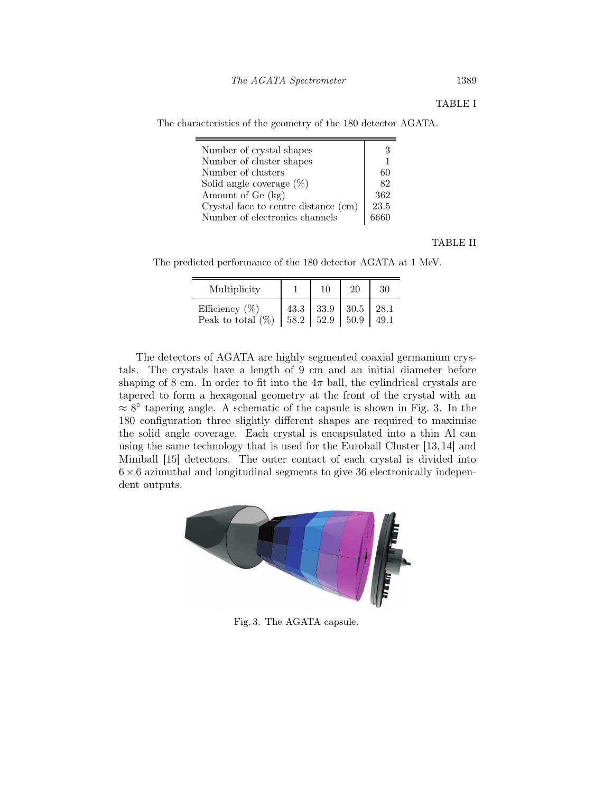The characteristics of the geometry of the 180 detector AGATA.

| Number of crystal shapes             | 3    |
|--------------------------------------|------|
| Number of cluster shapes             |      |
| Number of clusters                   | 60   |
| Solid angle coverage $(\%)$          | 82   |
| Amount of Ge (kg)                    | 362  |
| Crystal face to centre distance (cm) | 23.5 |
| Number of electronics channels       |      |

TABLE II

The predicted performance of the 180 detector AGATA at 1 MeV.

| Multiplicity         |      | 10   | 20   | 30   |
|----------------------|------|------|------|------|
| Efficiency $(\%)$    | 43.3 | 33.9 | 30.5 | 28.1 |
| Peak to total $(\%)$ | 58.2 | 52.9 | 50.9 |      |

The detectors of AGATA are highly segmented coaxial germanium crystals. The crystals have a length of 9 cm and an initial diameter before shaping of 8 cm. In order to fit into the  $4\pi$  ball, the cylindrical crystals are tapered to form a hexagonal geometry at the front of the crystal with an  $\approx 8^{\circ}$  tapering angle. A schematic of the capsule is shown in Fig. 3. In the 180 configuration three slightly different shapes are required to maximise the solid angle coverage. Each crystal is encapsulated into a thin Al can using the same technology that is used for the Euroball Cluster [13,14] and Miniball [15] detectors. The outer contact of each crystal is divided into  $6 \times 6$  azimuthal and longitudinal segments to give 36 electronically independent outputs.



Fig. 3. The AGATA capsule.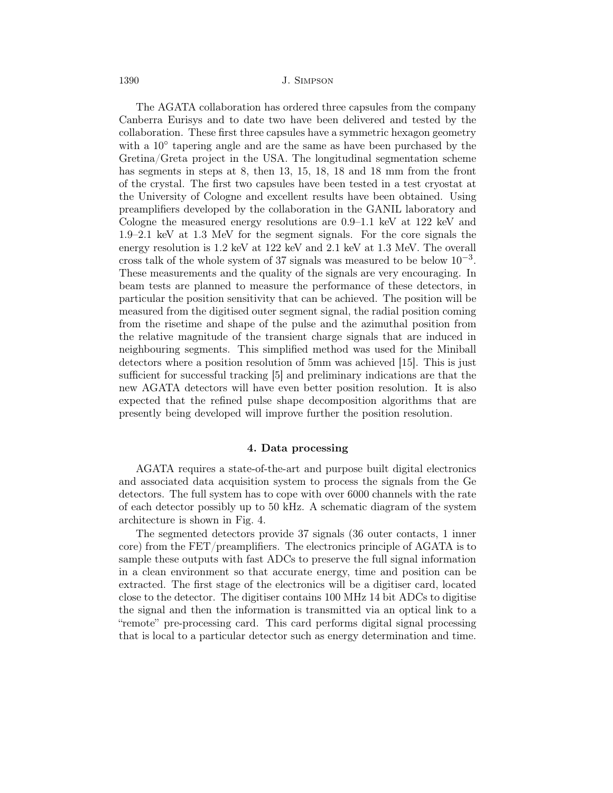1390 J. Simpson

The AGATA collaboration has ordered three capsules from the company Canberra Eurisys and to date two have been delivered and tested by the collaboration. These first three capsules have a symmetric hexagon geometry with a 10° tapering angle and are the same as have been purchased by the Gretina/Greta project in the USA. The longitudinal segmentation scheme has segments in steps at 8, then 13, 15, 18, 18 and 18 mm from the front of the crystal. The first two capsules have been tested in a test cryostat at the University of Cologne and excellent results have been obtained. Using preamplifiers developed by the collaboration in the GANIL laboratory and Cologne the measured energy resolutions are 0.9–1.1 keV at 122 keV and 1.9–2.1 keV at 1.3 MeV for the segment signals. For the core signals the energy resolution is 1.2 keV at 122 keV and 2.1 keV at 1.3 MeV. The overall cross talk of the whole system of 37 signals was measured to be below  $10^{-3}$ . These measurements and the quality of the signals are very encouraging. In beam tests are planned to measure the performance of these detectors, in particular the position sensitivity that can be achieved. The position will be measured from the digitised outer segment signal, the radial position coming from the risetime and shape of the pulse and the azimuthal position from the relative magnitude of the transient charge signals that are induced in neighbouring segments. This simplified method was used for the Miniball detectors where a position resolution of 5mm was achieved [15]. This is just sufficient for successful tracking [5] and preliminary indications are that the new AGATA detectors will have even better position resolution. It is also expected that the refined pulse shape decomposition algorithms that are presently being developed will improve further the position resolution.

#### 4. Data processing

AGATA requires a state-of-the-art and purpose built digital electronics and associated data acquisition system to process the signals from the Ge detectors. The full system has to cope with over 6000 channels with the rate of each detector possibly up to 50 kHz. A schematic diagram of the system architecture is shown in Fig. 4.

The segmented detectors provide 37 signals (36 outer contacts, 1 inner core) from the FET/preamplifiers. The electronics principle of AGATA is to sample these outputs with fast ADCs to preserve the full signal information in a clean environment so that accurate energy, time and position can be extracted. The first stage of the electronics will be a digitiser card, located close to the detector. The digitiser contains 100 MHz 14 bit ADCs to digitise the signal and then the information is transmitted via an optical link to a "remote" pre-processing card. This card performs digital signal processing that is local to a particular detector such as energy determination and time.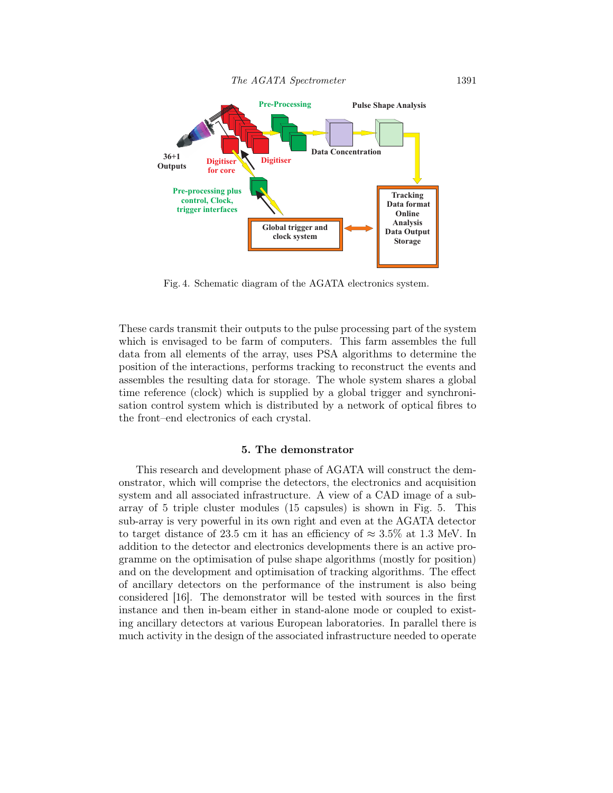

Fig. 4. Schematic diagram of the AGATA electronics system.

These cards transmit their outputs to the pulse processing part of the system which is envisaged to be farm of computers. This farm assembles the full data from all elements of the array, uses PSA algorithms to determine the position of the interactions, performs tracking to reconstruct the events and assembles the resulting data for storage. The whole system shares a global time reference (clock) which is supplied by a global trigger and synchronisation control system which is distributed by a network of optical fibres to the front–end electronics of each crystal.

### 5. The demonstrator

This research and development phase of AGATA will construct the demonstrator, which will comprise the detectors, the electronics and acquisition system and all associated infrastructure. A view of a CAD image of a subarray of 5 triple cluster modules (15 capsules) is shown in Fig. 5. This sub-array is very powerful in its own right and even at the AGATA detector to target distance of 23.5 cm it has an efficiency of  $\approx 3.5\%$  at 1.3 MeV. In addition to the detector and electronics developments there is an active programme on the optimisation of pulse shape algorithms (mostly for position) and on the development and optimisation of tracking algorithms. The effect of ancillary detectors on the performance of the instrument is also being considered [16]. The demonstrator will be tested with sources in the first instance and then in-beam either in stand-alone mode or coupled to existing ancillary detectors at various European laboratories. In parallel there is much activity in the design of the associated infrastructure needed to operate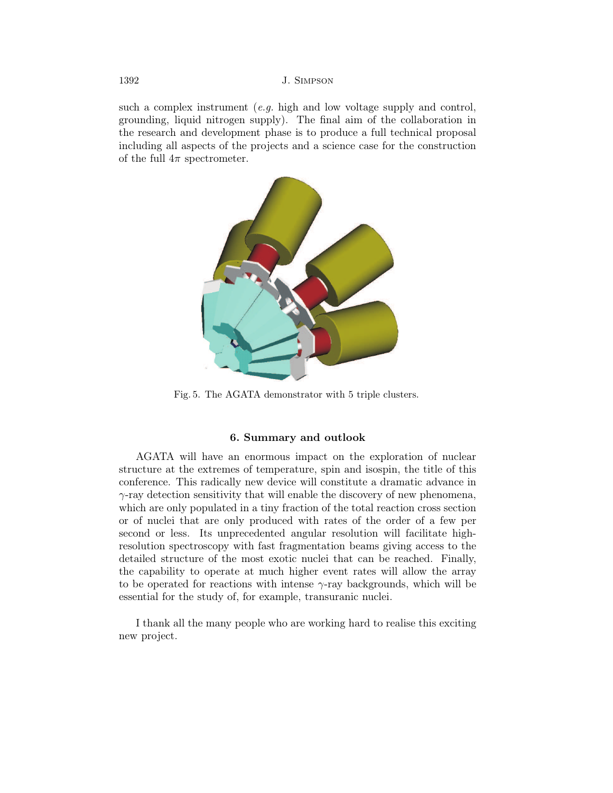such a complex instrument  $(e,q, h)$  high and low voltage supply and control, grounding, liquid nitrogen supply). The final aim of the collaboration in the research and development phase is to produce a full technical proposal including all aspects of the projects and a science case for the construction of the full  $4\pi$  spectrometer.



Fig. 5. The AGATA demonstrator with 5 triple clusters.

## 6. Summary and outlook

AGATA will have an enormous impact on the exploration of nuclear structure at the extremes of temperature, spin and isospin, the title of this conference. This radically new device will constitute a dramatic advance in  $\gamma$ -ray detection sensitivity that will enable the discovery of new phenomena, which are only populated in a tiny fraction of the total reaction cross section or of nuclei that are only produced with rates of the order of a few per second or less. Its unprecedented angular resolution will facilitate highresolution spectroscopy with fast fragmentation beams giving access to the detailed structure of the most exotic nuclei that can be reached. Finally, the capability to operate at much higher event rates will allow the array to be operated for reactions with intense  $\gamma$ -ray backgrounds, which will be essential for the study of, for example, transuranic nuclei.

I thank all the many people who are working hard to realise this exciting new project.